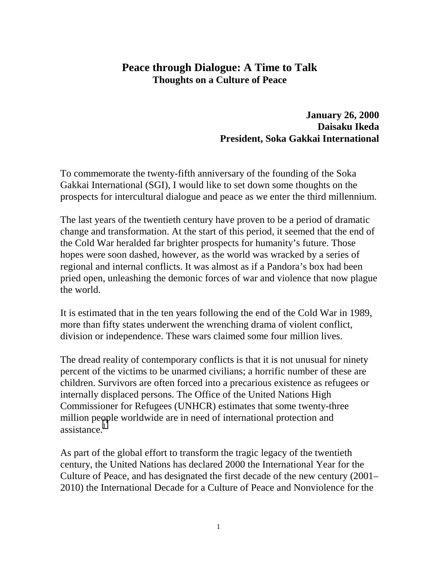# **Peace through Dialogue: A Time to Talk Thoughts on a Culture of Peace**

**January 26, 2000 Daisaku Ikeda President, Soka Gakkai International** 

To commemorate the twenty-fifth anniversary of the founding of the Soka Gakkai International (SGI), I would like to set down some thoughts on the prospects for intercultural dialogue and peace as we enter the third millennium.

The last years of the twentieth century have proven to be a period of dramatic change and transformation. At the start of this period, it seemed that the end of the Cold War heralded far brighter prospects for humanity's future. Those hopes were soon dashed, however, as the world was wracked by a series of regional and internal conflicts. It was almost as if a Pandora's box had been pried open, unleashing the demonic forces of war and violence that now plague the world.

It is estimated that in the ten years following the end of the Cold War in 1989, more than fifty states underwent the wrenching drama of violent conflict, division or independence. These wars claimed some four million lives.

The dread reality of contemporary conflicts is that it is not unusual for ninety percent of the victims to be unarmed civilians; a horrific number of these are children. Survivors are often forced into a precarious existence as refugees or internally displaced persons. The Office of the United Nations High Commissioner for Refugees (UNHCR) estimates that some twenty-three million people worldwide are in need of international protection and assistance. $<sup>1</sup>$ </sup>

As part of the global effort to transform the tragic legacy of the twentieth century, the United Nations has declared 2000 the International Year for the Culture of Peace, and has designated the first decade of the new century (2001– 2010) the International Decade for a Culture of Peace and Nonviolence for the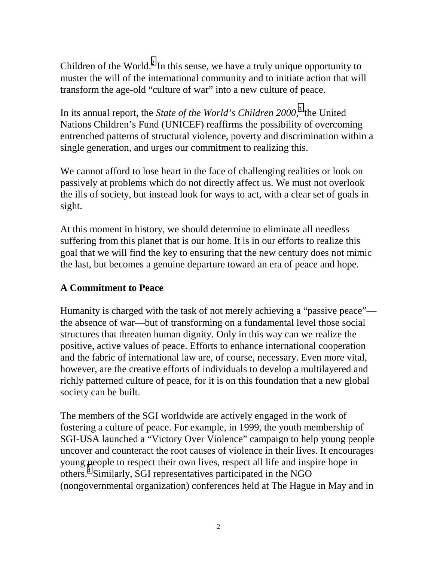Children of the World. $<sup>2</sup>$  $<sup>2</sup>$  $<sup>2</sup>$  In this sense, we have a truly unique opportunity to</sup> muster the will of the international community and to initiate action that will transform the age-old "culture of war" into a new culture of peace.

In its annual report, the *State of the World's Children* 2000,<sup>[3](#page-39-0)</sup> the United Nations Children's Fund (UNICEF) reaffirms the possibility of overcoming entrenched patterns of structural violence, poverty and discrimination within a single generation, and urges our commitment to realizing this.

We cannot afford to lose heart in the face of challenging realities or look on passively at problems which do not directly affect us. We must not overlook the ills of society, but instead look for ways to act, with a clear set of goals in sight.

At this moment in history, we should determine to eliminate all needless suffering from this planet that is our home. It is in our efforts to realize this goal that we will find the key to ensuring that the new century does not mimic the last, but becomes a genuine departure toward an era of peace and hope.

# **A Commitment to Peace**

Humanity is charged with the task of not merely achieving a "passive peace" the absence of war—but of transforming on a fundamental level those social structures that threaten human dignity. Only in this way can we realize the positive, active values of peace. Efforts to enhance international cooperation and the fabric of international law are, of course, necessary. Even more vital, however, are the creative efforts of individuals to develop a multilayered and richly patterned culture of peace, for it is on this foundation that a new global society can be built.

The members of the SGI worldwide are actively engaged in the work of fostering a culture of peace. For example, in 1999, the youth membership of SGI-USA launched a "Victory Over Violence" campaign to help young people uncover and counteract the root causes of violence in their lives. It encourages young people to respect their own lives, respect all life and inspire hope in others[.4](#page-39-0) Similarly, SGI representatives participated in the NGO (nongovernmental organization) conferences held at The Hague in May and in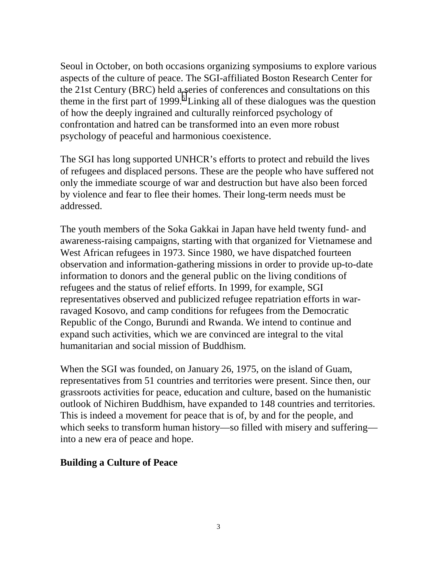Seoul in October, on both occasions organizing symposiums to explore various aspects of the culture of peace. The SGI-affiliated Boston Research Center for the 21st Century (BRC) held a series of conferences and consultations on this theme in the first part of 1999.<sup>[5](#page-39-0)</sup> Linking all of these dialogues was the question of how the deeply ingrained and culturally reinforced psychology of confrontation and hatred can be transformed into an even more robust psychology of peaceful and harmonious coexistence.

The SGI has long supported UNHCR's efforts to protect and rebuild the lives of refugees and displaced persons. These are the people who have suffered not only the immediate scourge of war and destruction but have also been forced by violence and fear to flee their homes. Their long-term needs must be addressed.

The youth members of the Soka Gakkai in Japan have held twenty fund- and awareness-raising campaigns, starting with that organized for Vietnamese and West African refugees in 1973. Since 1980, we have dispatched fourteen observation and information-gathering missions in order to provide up-to-date information to donors and the general public on the living conditions of refugees and the status of relief efforts. In 1999, for example, SGI representatives observed and publicized refugee repatriation efforts in warravaged Kosovo, and camp conditions for refugees from the Democratic Republic of the Congo, Burundi and Rwanda. We intend to continue and expand such activities, which we are convinced are integral to the vital humanitarian and social mission of Buddhism.

When the SGI was founded, on January 26, 1975, on the island of Guam, representatives from 51 countries and territories were present. Since then, our grassroots activities for peace, education and culture, based on the humanistic outlook of Nichiren Buddhism, have expanded to 148 countries and territories. This is indeed a movement for peace that is of, by and for the people, and which seeks to transform human history—so filled with misery and suffering into a new era of peace and hope.

### **Building a Culture of Peace**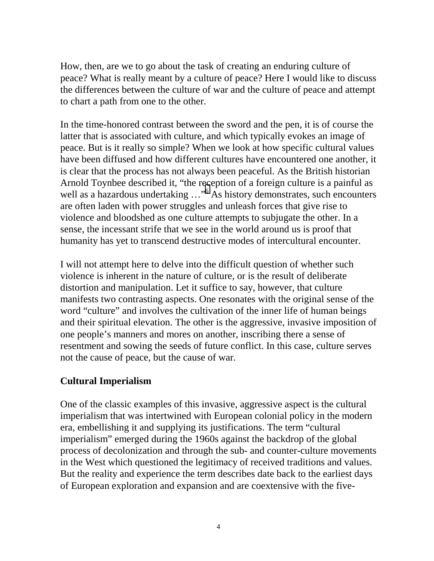How, then, are we to go about the task of creating an enduring culture of peace? What is really meant by a culture of peace? Here I would like to discuss the differences between the culture of war and the culture of peace and attempt to chart a path from one to the other.

In the time-honored contrast between the sword and the pen, it is of course the latter that is associated with culture, and which typically evokes an image of peace. But is it really so simple? When we look at how specific cultural values have been diffused and how different cultures have encountered one another, it is clear that the process has not always been peaceful. As the British historian Arnold Toynbee described it, "the reception of a foreign culture is a painful as well as a hazardous undertaking ..."<sup>[6](#page-39-0)</sup> As history demonstrates, such encounters are often laden with power struggles and unleash forces that give rise to violence and bloodshed as one culture attempts to subjugate the other. In a sense, the incessant strife that we see in the world around us is proof that humanity has yet to transcend destructive modes of intercultural encounter.

I will not attempt here to delve into the difficult question of whether such violence is inherent in the nature of culture, or is the result of deliberate distortion and manipulation. Let it suffice to say, however, that culture manifests two contrasting aspects. One resonates with the original sense of the word "culture" and involves the cultivation of the inner life of human beings and their spiritual elevation. The other is the aggressive, invasive imposition of one people's manners and mores on another, inscribing there a sense of resentment and sowing the seeds of future conflict. In this case, culture serves not the cause of peace, but the cause of war.

# **Cultural Imperialism**

One of the classic examples of this invasive, aggressive aspect is the cultural imperialism that was intertwined with European colonial policy in the modern era, embellishing it and supplying its justifications. The term "cultural imperialism" emerged during the 1960s against the backdrop of the global process of decolonization and through the sub- and counter-culture movements in the West which questioned the legitimacy of received traditions and values. But the reality and experience the term describes date back to the earliest days of European exploration and expansion and are coextensive with the five-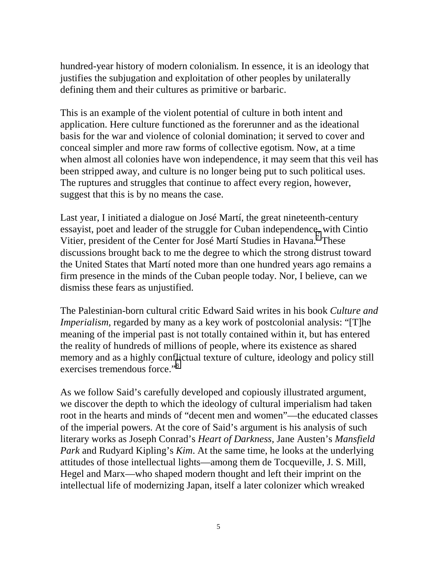hundred-year history of modern colonialism. In essence, it is an ideology that justifies the subjugation and exploitation of other peoples by unilaterally defining them and their cultures as primitive or barbaric.

This is an example of the violent potential of culture in both intent and application. Here culture functioned as the forerunner and as the ideational basis for the war and violence of colonial domination; it served to cover and conceal simpler and more raw forms of collective egotism. Now, at a time when almost all colonies have won independence, it may seem that this veil has been stripped away, and culture is no longer being put to such political uses. The ruptures and struggles that continue to affect every region, however, suggest that this is by no means the case.

Last year, I initiated a dialogue on José Martí, the great nineteenth-century essayist, poet and leader of the struggle for Cuban independence, with Cintio Vitier, president of the Center for José Martí Studies in Havana.<sup>[7](#page-39-0)</sup> These discussions brought back to me the degree to which the strong distrust toward the United States that Martí noted more than one hundred years ago remains a firm presence in the minds of the Cuban people today. Nor, I believe, can we dismiss these fears as unjustified.

The Palestinian-born cultural critic Edward Said writes in his book *Culture and Imperialism,* regarded by many as a key work of postcolonial analysis: "[T]he meaning of the imperial past is not totally contained within it, but has entered the reality of hundreds of millions of people, where its existence as shared memory and as a highly conflictual texture of culture, ideology and policy still exercises tremendous force."<sup>[8](#page-39-0)</sup>

As we follow Said's carefully developed and copiously illustrated argument, we discover the depth to which the ideology of cultural imperialism had taken root in the hearts and minds of "decent men and women"—the educated classes of the imperial powers. At the core of Said's argument is his analysis of such literary works as Joseph Conrad's *Heart of Darkness,* Jane Austen's *Mansfield Park* and Rudyard Kipling's *Kim*. At the same time, he looks at the underlying attitudes of those intellectual lights—among them de Tocqueville, J. S. Mill, Hegel and Marx—who shaped modern thought and left their imprint on the intellectual life of modernizing Japan, itself a later colonizer which wreaked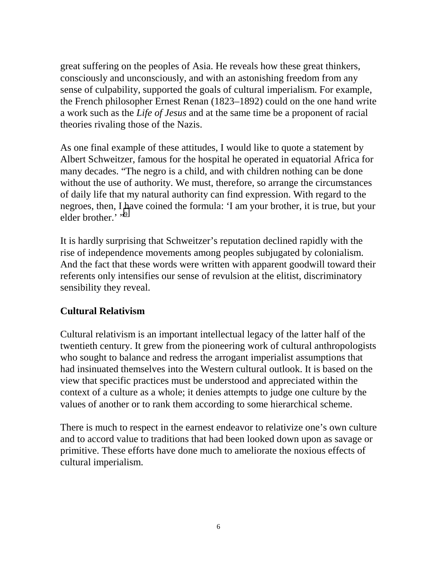great suffering on the peoples of Asia. He reveals how these great thinkers, consciously and unconsciously, and with an astonishing freedom from any sense of culpability, supported the goals of cultural imperialism. For example, the French philosopher Ernest Renan (1823–1892) could on the one hand write a work such as the *Life of Jesus* and at the same time be a proponent of racial theories rivaling those of the Nazis.

As one final example of these attitudes, I would like to quote a statement by Albert Schweitzer, famous for the hospital he operated in equatorial Africa for many decades. "The negro is a child, and with children nothing can be done without the use of authority. We must, therefore, so arrange the circumstances of daily life that my natural authority can find expression. With regard to the negroes, then, I have coined the formula: 'I am your brother, it is true, but your elder brother.'  $\cdot$ <sup>[9](#page-39-0)</sup>

It is hardly surprising that Schweitzer's reputation declined rapidly with the rise of independence movements among peoples subjugated by colonialism. And the fact that these words were written with apparent goodwill toward their referents only intensifies our sense of revulsion at the elitist, discriminatory sensibility they reveal.

# **Cultural Relativism**

Cultural relativism is an important intellectual legacy of the latter half of the twentieth century. It grew from the pioneering work of cultural anthropologists who sought to balance and redress the arrogant imperialist assumptions that had insinuated themselves into the Western cultural outlook. It is based on the view that specific practices must be understood and appreciated within the context of a culture as a whole; it denies attempts to judge one culture by the values of another or to rank them according to some hierarchical scheme.

There is much to respect in the earnest endeavor to relativize one's own culture and to accord value to traditions that had been looked down upon as savage or primitive. These efforts have done much to ameliorate the noxious effects of cultural imperialism.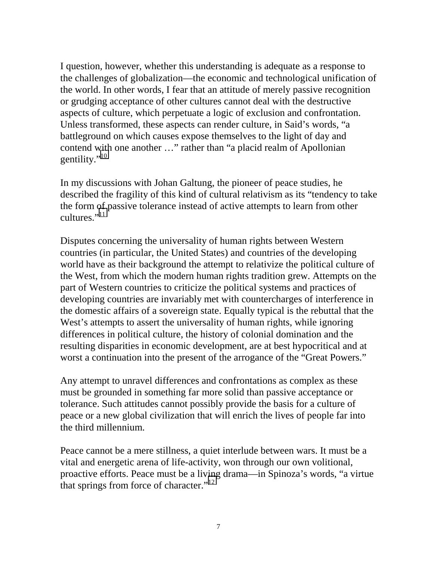I question, however, whether this understanding is adequate as a response to the challenges of globalization—the economic and technological unification of the world. In other words, I fear that an attitude of merely passive recognition or grudging acceptance of other cultures cannot deal with the destructive aspects of culture, which perpetuate a logic of exclusion and confrontation. Unless transformed, these aspects can render culture, in Said's words, "a battleground on which causes expose themselves to the light of day and contend with one another …" rather than "a placid realm of Apollonian gentility." $10$ 

In my discussions with Johan Galtung, the pioneer of peace studies, he described the fragility of this kind of cultural relativism as its "tendency to take the form of passive tolerance instead of active attempts to learn from other cultures $"$ <sup>[11](#page-39-0)</sup>

Disputes concerning the universality of human rights between Western countries (in particular, the United States) and countries of the developing world have as their background the attempt to relativize the political culture of the West, from which the modern human rights tradition grew. Attempts on the part of Western countries to criticize the political systems and practices of developing countries are invariably met with countercharges of interference in the domestic affairs of a sovereign state. Equally typical is the rebuttal that the West's attempts to assert the universality of human rights, while ignoring differences in political culture, the history of colonial domination and the resulting disparities in economic development, are at best hypocritical and at worst a continuation into the present of the arrogance of the "Great Powers."

Any attempt to unravel differences and confrontations as complex as these must be grounded in something far more solid than passive acceptance or tolerance. Such attitudes cannot possibly provide the basis for a culture of peace or a new global civilization that will enrich the lives of people far into the third millennium.

Peace cannot be a mere stillness, a quiet interlude between wars. It must be a vital and energetic arena of life-activity, won through our own volitional, proactive efforts. Peace must be a living drama—in Spinoza's words, "a virtue that springs from force of character."<sup>[12](#page-39-0)</sup>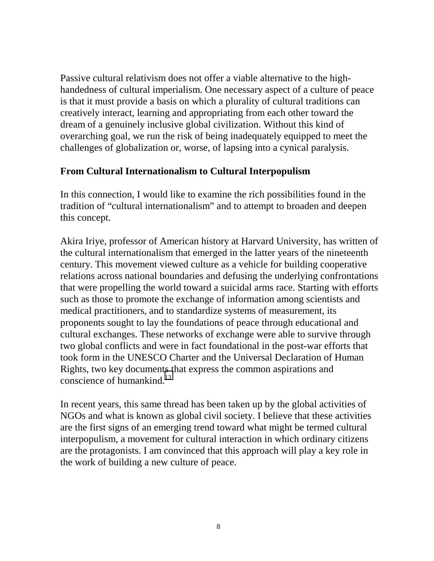Passive cultural relativism does not offer a viable alternative to the highhandedness of cultural imperialism. One necessary aspect of a culture of peace is that it must provide a basis on which a plurality of cultural traditions can creatively interact, learning and appropriating from each other toward the dream of a genuinely inclusive global civilization. Without this kind of overarching goal, we run the risk of being inadequately equipped to meet the challenges of globalization or, worse, of lapsing into a cynical paralysis.

### **From Cultural Internationalism to Cultural Interpopulism**

In this connection, I would like to examine the rich possibilities found in the tradition of "cultural internationalism" and to attempt to broaden and deepen this concept.

Akira Iriye, professor of American history at Harvard University, has written of the cultural internationalism that emerged in the latter years of the nineteenth century. This movement viewed culture as a vehicle for building cooperative relations across national boundaries and defusing the underlying confrontations that were propelling the world toward a suicidal arms race. Starting with efforts such as those to promote the exchange of information among scientists and medical practitioners, and to standardize systems of measurement, its proponents sought to lay the foundations of peace through educational and cultural exchanges. These networks of exchange were able to survive through two global conflicts and were in fact foundational in the post-war efforts that took form in the UNESCO Charter and the Universal Declaration of Human Rights, two key documents that express the common aspirations and conscience of humankind.<sup>[13](#page-39-0)</sup>

In recent years, this same thread has been taken up by the global activities of NGOs and what is known as global civil society. I believe that these activities are the first signs of an emerging trend toward what might be termed cultural interpopulism, a movement for cultural interaction in which ordinary citizens are the protagonists. I am convinced that this approach will play a key role in the work of building a new culture of peace.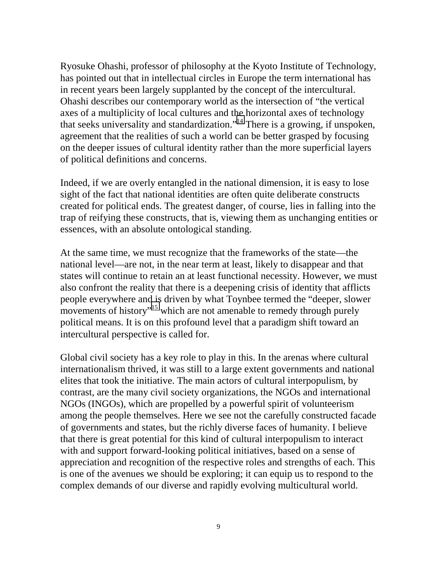Ryosuke Ohashi, professor of philosophy at the Kyoto Institute of Technology, has pointed out that in intellectual circles in Europe the term international has in recent years been largely supplanted by the concept of the intercultural. Ohashi describes our contemporary world as the intersection of "the vertical axes of a multiplicity of local cultures and the horizontal axes of technology that seeks universality and standardization.["14](#page-39-0) There is a growing, if unspoken, agreement that the realities of such a world can be better grasped by focusing on the deeper issues of cultural identity rather than the more superficial layers of political definitions and concerns.

Indeed, if we are overly entangled in the national dimension, it is easy to lose sight of the fact that national identities are often quite deliberate constructs created for political ends. The greatest danger, of course, lies in falling into the trap of reifying these constructs, that is, viewing them as unchanging entities or essences, with an absolute ontological standing.

At the same time, we must recognize that the frameworks of the state—the national level—are not, in the near term at least, likely to disappear and that states will continue to retain an at least functional necessity. However, we must also confront the reality that there is a deepening crisis of identity that afflicts people everywhere and is driven by what Toynbee termed the "deeper, slower movements of history<sup>"15</sup> which are not amenable to remedy through purely political means. It is on this profound level that a paradigm shift toward an intercultural perspective is called for.

Global civil society has a key role to play in this. In the arenas where cultural internationalism thrived, it was still to a large extent governments and national elites that took the initiative. The main actors of cultural interpopulism, by contrast, are the many civil society organizations, the NGOs and international NGOs (INGOs), which are propelled by a powerful spirit of volunteerism among the people themselves. Here we see not the carefully constructed facade of governments and states, but the richly diverse faces of humanity. I believe that there is great potential for this kind of cultural interpopulism to interact with and support forward-looking political initiatives, based on a sense of appreciation and recognition of the respective roles and strengths of each. This is one of the avenues we should be exploring; it can equip us to respond to the complex demands of our diverse and rapidly evolving multicultural world.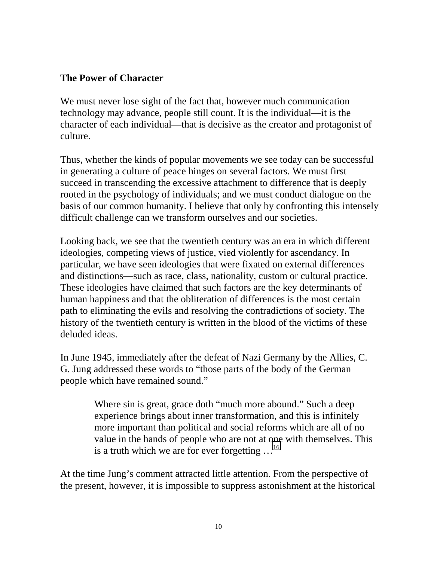### **The Power of Character**

We must never lose sight of the fact that, however much communication technology may advance, people still count. It is the individual—it is the character of each individual—that is decisive as the creator and protagonist of culture.

Thus, whether the kinds of popular movements we see today can be successful in generating a culture of peace hinges on several factors. We must first succeed in transcending the excessive attachment to difference that is deeply rooted in the psychology of individuals; and we must conduct dialogue on the basis of our common humanity. I believe that only by confronting this intensely difficult challenge can we transform ourselves and our societies.

Looking back, we see that the twentieth century was an era in which different ideologies, competing views of justice, vied violently for ascendancy. In particular, we have seen ideologies that were fixated on external differences and distinctions—such as race, class, nationality, custom or cultural practice. These ideologies have claimed that such factors are the key determinants of human happiness and that the obliteration of differences is the most certain path to eliminating the evils and resolving the contradictions of society. The history of the twentieth century is written in the blood of the victims of these deluded ideas.

In June 1945, immediately after the defeat of Nazi Germany by the Allies, C. G. Jung addressed these words to "those parts of the body of the German people which have remained sound."

> Where sin is great, grace doth "much more abound." Such a deep experience brings about inner transformation, and this is infinitely more important than political and social reforms which are all of no value in the hands of people who are not at one with themselves. This is a truth which we are for ever forgetting  $\ldots$ <sup>[16](#page-39-0)</sup>

At the time Jung's comment attracted little attention. From the perspective of the present, however, it is impossible to suppress astonishment at the historical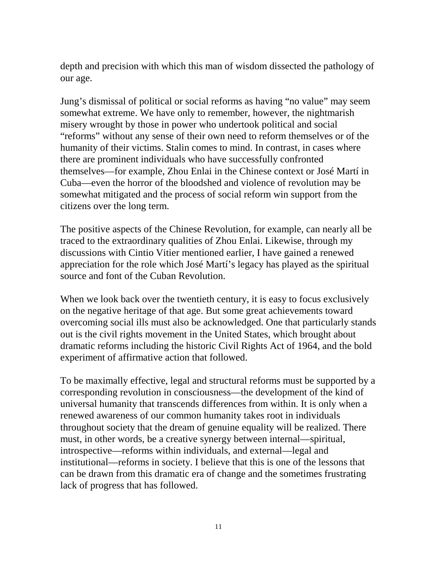depth and precision with which this man of wisdom dissected the pathology of our age.

Jung's dismissal of political or social reforms as having "no value" may seem somewhat extreme. We have only to remember, however, the nightmarish misery wrought by those in power who undertook political and social "reforms" without any sense of their own need to reform themselves or of the humanity of their victims. Stalin comes to mind. In contrast, in cases where there are prominent individuals who have successfully confronted themselves—for example, Zhou Enlai in the Chinese context or José Martí in Cuba—even the horror of the bloodshed and violence of revolution may be somewhat mitigated and the process of social reform win support from the citizens over the long term.

The positive aspects of the Chinese Revolution, for example, can nearly all be traced to the extraordinary qualities of Zhou Enlai. Likewise, through my discussions with Cintio Vitier mentioned earlier, I have gained a renewed appreciation for the role which José Martí's legacy has played as the spiritual source and font of the Cuban Revolution.

When we look back over the twentieth century, it is easy to focus exclusively on the negative heritage of that age. But some great achievements toward overcoming social ills must also be acknowledged. One that particularly stands out is the civil rights movement in the United States, which brought about dramatic reforms including the historic Civil Rights Act of 1964, and the bold experiment of affirmative action that followed.

To be maximally effective, legal and structural reforms must be supported by a corresponding revolution in consciousness—the development of the kind of universal humanity that transcends differences from within. It is only when a renewed awareness of our common humanity takes root in individuals throughout society that the dream of genuine equality will be realized. There must, in other words, be a creative synergy between internal—spiritual, introspective—reforms within individuals, and external—legal and institutional—reforms in society. I believe that this is one of the lessons that can be drawn from this dramatic era of change and the sometimes frustrating lack of progress that has followed.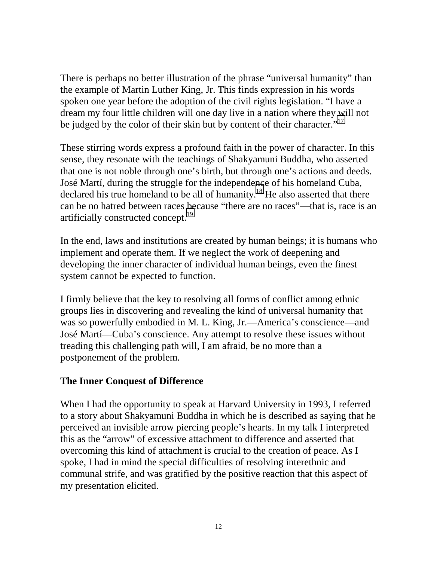There is perhaps no better illustration of the phrase "universal humanity" than the example of Martin Luther King, Jr. This finds expression in his words spoken one year before the adoption of the civil rights legislation. "I have a dream my four little children will one day live in a nation where they will not be judged by the color of their skin but by content of their character."<sup>[17](#page-39-0)</sup>

These stirring words express a profound faith in the power of character. In this sense, they resonate with the teachings of Shakyamuni Buddha, who asserted that one is not noble through one's birth, but through one's actions and deeds. José Martí, during the struggle for the independence of his homeland Cuba, declared his true homeland to be all of humanity.<sup>18</sup> He also asserted that there can be no hatred between races because "there are no races"—that is, race is an artificially constructed concept.<sup>19</sup>

In the end, laws and institutions are created by human beings; it is humans who implement and operate them. If we neglect the work of deepening and developing the inner character of individual human beings, even the finest system cannot be expected to function.

I firmly believe that the key to resolving all forms of conflict among ethnic groups lies in discovering and revealing the kind of universal humanity that was so powerfully embodied in M. L. King, Jr.—America's conscience—and José Martí—Cuba's conscience. Any attempt to resolve these issues without treading this challenging path will, I am afraid, be no more than a postponement of the problem.

# **The Inner Conquest of Difference**

When I had the opportunity to speak at Harvard University in 1993, I referred to a story about Shakyamuni Buddha in which he is described as saying that he perceived an invisible arrow piercing people's hearts. In my talk I interpreted this as the "arrow" of excessive attachment to difference and asserted that overcoming this kind of attachment is crucial to the creation of peace. As I spoke, I had in mind the special difficulties of resolving interethnic and communal strife, and was gratified by the positive reaction that this aspect of my presentation elicited.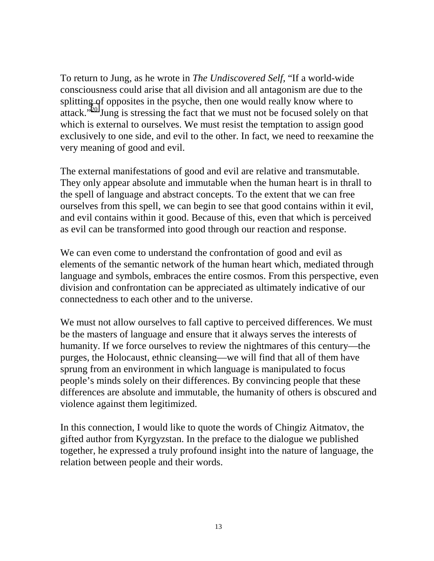To return to Jung, as he wrote in *The Undiscovered Self,* "If a world-wide consciousness could arise that all division and all antagonism are due to the splitting of opposites in the psyche, then one would really know where to attack."<sup>20</sup> Jung is stressing the fact that we must not be focused solely on that which is external to ourselves. We must resist the temptation to assign good exclusively to one side, and evil to the other. In fact, we need to reexamine the very meaning of good and evil.

The external manifestations of good and evil are relative and transmutable. They only appear absolute and immutable when the human heart is in thrall to the spell of language and abstract concepts. To the extent that we can free ourselves from this spell, we can begin to see that good contains within it evil, and evil contains within it good. Because of this, even that which is perceived as evil can be transformed into good through our reaction and response.

We can even come to understand the confrontation of good and evil as elements of the semantic network of the human heart which, mediated through language and symbols, embraces the entire cosmos. From this perspective, even division and confrontation can be appreciated as ultimately indicative of our connectedness to each other and to the universe.

We must not allow ourselves to fall captive to perceived differences. We must be the masters of language and ensure that it always serves the interests of humanity. If we force ourselves to review the nightmares of this century—the purges, the Holocaust, ethnic cleansing—we will find that all of them have sprung from an environment in which language is manipulated to focus people's minds solely on their differences. By convincing people that these differences are absolute and immutable, the humanity of others is obscured and violence against them legitimized.

In this connection, I would like to quote the words of Chingiz Aitmatov, the gifted author from Kyrgyzstan. In the preface to the dialogue we published together, he expressed a truly profound insight into the nature of language, the relation between people and their words.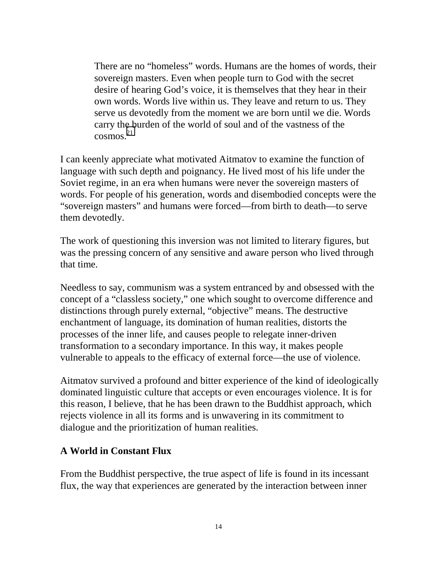There are no "homeless" words. Humans are the homes of words, their sovereign masters. Even when people turn to God with the secret desire of hearing God's voice, it is themselves that they hear in their own words. Words live within us. They leave and return to us. They serve us devotedly from the moment we are born until we die. Words carry the burden of the world of soul and of the vastness of the cosmos. [21](#page-39-0) 

I can keenly appreciate what motivated Aitmatov to examine the function of language with such depth and poignancy. He lived most of his life under the Soviet regime, in an era when humans were never the sovereign masters of words. For people of his generation, words and disembodied concepts were the "sovereign masters" and humans were forced—from birth to death—to serve them devotedly.

The work of questioning this inversion was not limited to literary figures, but was the pressing concern of any sensitive and aware person who lived through that time.

Needless to say, communism was a system entranced by and obsessed with the concept of a "classless society," one which sought to overcome difference and distinctions through purely external, "objective" means. The destructive enchantment of language, its domination of human realities, distorts the processes of the inner life, and causes people to relegate inner-driven transformation to a secondary importance. In this way, it makes people vulnerable to appeals to the efficacy of external force—the use of violence.

Aitmatov survived a profound and bitter experience of the kind of ideologically dominated linguistic culture that accepts or even encourages violence. It is for this reason, I believe, that he has been drawn to the Buddhist approach, which rejects violence in all its forms and is unwavering in its commitment to dialogue and the prioritization of human realities.

# **A World in Constant Flux**

From the Buddhist perspective, the true aspect of life is found in its incessant flux, the way that experiences are generated by the interaction between inner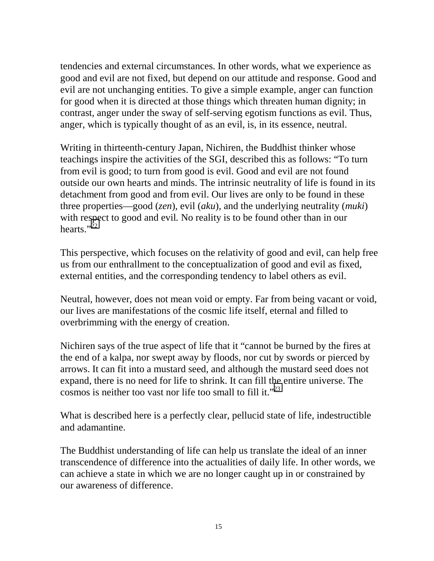tendencies and external circumstances. In other words, what we experience as good and evil are not fixed, but depend on our attitude and response. Good and evil are not unchanging entities. To give a simple example, anger can function for good when it is directed at those things which threaten human dignity; in contrast, anger under the sway of self-serving egotism functions as evil. Thus, anger, which is typically thought of as an evil, is, in its essence, neutral.

Writing in thirteenth-century Japan, Nichiren, the Buddhist thinker whose teachings inspire the activities of the SGI, described this as follows: "To turn from evil is good; to turn from good is evil. Good and evil are not found outside our own hearts and minds. The intrinsic neutrality of life is found in its detachment from good and from evil. Our lives are only to be found in these three properties—good (*zen*), evil (*aku*), and the underlying neutrality (*muki*) with respect to good and evil*.* No reality is to be found other than in our hearts." $^{22}$  $^{22}$  $^{22}$ 

This perspective, which focuses on the relativity of good and evil, can help free us from our enthrallment to the conceptualization of good and evil as fixed, external entities, and the corresponding tendency to label others as evil.

Neutral, however, does not mean void or empty. Far from being vacant or void, our lives are manifestations of the cosmic life itself, eternal and filled to overbrimming with the energy of creation.

Nichiren says of the true aspect of life that it "cannot be burned by the fires at the end of a kalpa, nor swept away by floods, nor cut by swords or pierced by arrows. It can fit into a mustard seed, and although the mustard seed does not expand, there is no need for life to shrink. It can fill the entire universe. The cosmos is neither too vast nor life too small to fill it."<sup>[23](#page-39-0)</sup>

What is described here is a perfectly clear, pellucid state of life, indestructible and adamantine.

The Buddhist understanding of life can help us translate the ideal of an inner transcendence of difference into the actualities of daily life. In other words, we can achieve a state in which we are no longer caught up in or constrained by our awareness of difference.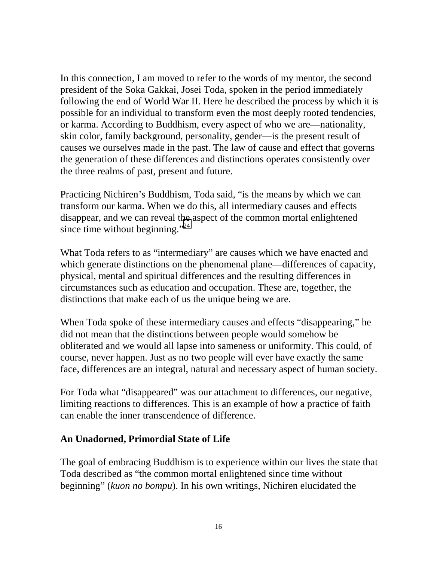In this connection, I am moved to refer to the words of my mentor, the second president of the Soka Gakkai, Josei Toda, spoken in the period immediately following the end of World War II. Here he described the process by which it is possible for an individual to transform even the most deeply rooted tendencies, or karma. According to Buddhism, every aspect of who we are—nationality, skin color, family background, personality, gender—is the present result of causes we ourselves made in the past. The law of cause and effect that governs the generation of these differences and distinctions operates consistently over the three realms of past, present and future.

Practicing Nichiren's Buddhism, Toda said, "is the means by which we can transform our karma. When we do this, all intermediary causes and effects disappear, and we can reveal the aspect of the common mortal enlightened since time without beginning."<sup>[24](#page-39-0)</sup>

What Toda refers to as "intermediary" are causes which we have enacted and which generate distinctions on the phenomenal plane—differences of capacity, physical, mental and spiritual differences and the resulting differences in circumstances such as education and occupation. These are, together, the distinctions that make each of us the unique being we are.

When Toda spoke of these intermediary causes and effects "disappearing," he did not mean that the distinctions between people would somehow be obliterated and we would all lapse into sameness or uniformity. This could, of course, never happen. Just as no two people will ever have exactly the same face, differences are an integral, natural and necessary aspect of human society.

For Toda what "disappeared" was our attachment to differences, our negative, limiting reactions to differences. This is an example of how a practice of faith can enable the inner transcendence of difference.

# **An Unadorned, Primordial State of Life**

The goal of embracing Buddhism is to experience within our lives the state that Toda described as "the common mortal enlightened since time without beginning" (*kuon no bompu*). In his own writings, Nichiren elucidated the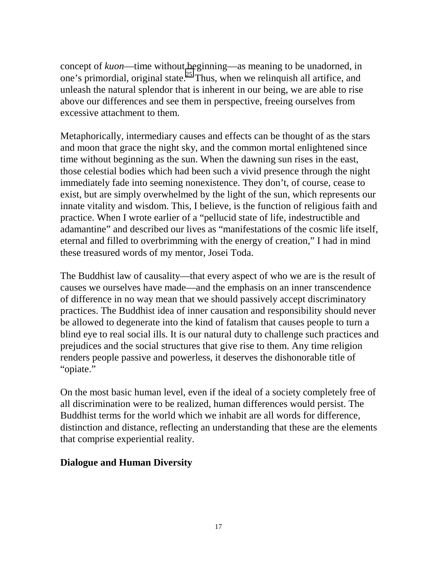concept of *kuon*—time without beginning—as meaning to be unadorned, in one's primordial, original state.<sup>25</sup> Thus, when we relinquish all artifice, and unleash the natural splendor that is inherent in our being, we are able to rise above our differences and see them in perspective, freeing ourselves from excessive attachment to them.

Metaphorically, intermediary causes and effects can be thought of as the stars and moon that grace the night sky, and the common mortal enlightened since time without beginning as the sun. When the dawning sun rises in the east, those celestial bodies which had been such a vivid presence through the night immediately fade into seeming nonexistence. They don't, of course, cease to exist, but are simply overwhelmed by the light of the sun, which represents our innate vitality and wisdom. This, I believe, is the function of religious faith and practice. When I wrote earlier of a "pellucid state of life, indestructible and adamantine" and described our lives as "manifestations of the cosmic life itself, eternal and filled to overbrimming with the energy of creation," I had in mind these treasured words of my mentor, Josei Toda.

The Buddhist law of causality—that every aspect of who we are is the result of causes we ourselves have made—and the emphasis on an inner transcendence of difference in no way mean that we should passively accept discriminatory practices. The Buddhist idea of inner causation and responsibility should never be allowed to degenerate into the kind of fatalism that causes people to turn a blind eye to real social ills. It is our natural duty to challenge such practices and prejudices and the social structures that give rise to them. Any time religion renders people passive and powerless, it deserves the dishonorable title of "opiate."

On the most basic human level, even if the ideal of a society completely free of all discrimination were to be realized, human differences would persist. The Buddhist terms for the world which we inhabit are all words for difference, distinction and distance, reflecting an understanding that these are the elements that comprise experiential reality.

### **Dialogue and Human Diversity**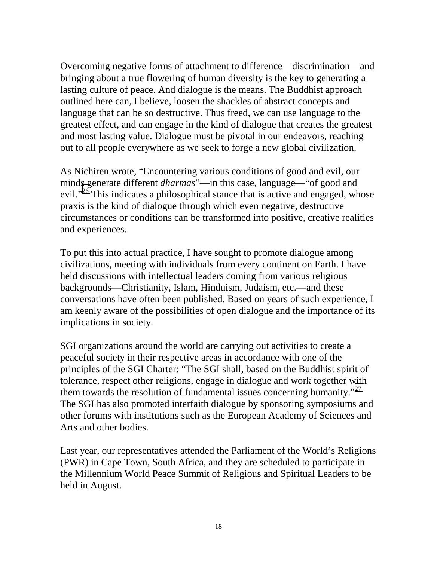Overcoming negative forms of attachment to difference—discrimination—and bringing about a true flowering of human diversity is the key to generating a lasting culture of peace. And dialogue is the means. The Buddhist approach outlined here can, I believe, loosen the shackles of abstract concepts and language that can be so destructive. Thus freed, we can use language to the greatest effect, and can engage in the kind of dialogue that creates the greatest and most lasting value. Dialogue must be pivotal in our endeavors, reaching out to all people everywhere as we seek to forge a new global civilization.

As Nichiren wrote, "Encountering various conditions of good and evil, our minds generate different *dharmas*"—in this case, language—"of good and evil."<sup>26</sup> This indicates a philosophical stance that is active and engaged, whose praxis is the kind of dialogue through which even negative, destructive circumstances or conditions can be transformed into positive, creative realities and experiences.

To put this into actual practice, I have sought to promote dialogue among civilizations, meeting with individuals from every continent on Earth. I have held discussions with intellectual leaders coming from various religious backgrounds—Christianity, Islam, Hinduism, Judaism, etc.—and these conversations have often been published. Based on years of such experience, I am keenly aware of the possibilities of open dialogue and the importance of its implications in society.

SGI organizations around the world are carrying out activities to create a peaceful society in their respective areas in accordance with one of the principles of the SGI Charter: "The SGI shall, based on the Buddhist spirit of tolerance, respect other religions, engage in dialogue and work together with them towards the resolution of fundamental issues concerning humanity."<sup>[27](#page-39-0)</sup> The SGI has also promoted interfaith dialogue by sponsoring symposiums and other forums with institutions such as the European Academy of Sciences and Arts and other bodies.

Last year, our representatives attended the Parliament of the World's Religions (PWR) in Cape Town, South Africa, and they are scheduled to participate in the Millennium World Peace Summit of Religious and Spiritual Leaders to be held in August.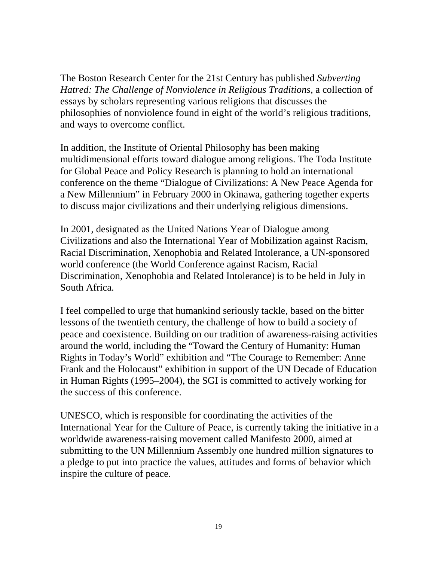The Boston Research Center for the 21st Century has published *Subverting Hatred: The Challenge of Nonviolence in Religious Traditions,* a collection of essays by scholars representing various religions that discusses the philosophies of nonviolence found in eight of the world's religious traditions, and ways to overcome conflict.

In addition, the Institute of Oriental Philosophy has been making multidimensional efforts toward dialogue among religions. The Toda Institute for Global Peace and Policy Research is planning to hold an international conference on the theme "Dialogue of Civilizations: A New Peace Agenda for a New Millennium" in February 2000 in Okinawa, gathering together experts to discuss major civilizations and their underlying religious dimensions.

In 2001, designated as the United Nations Year of Dialogue among Civilizations and also the International Year of Mobilization against Racism, Racial Discrimination, Xenophobia and Related Intolerance, a UN-sponsored world conference (the World Conference against Racism, Racial Discrimination, Xenophobia and Related Intolerance) is to be held in July in South Africa.

I feel compelled to urge that humankind seriously tackle, based on the bitter lessons of the twentieth century, the challenge of how to build a society of peace and coexistence. Building on our tradition of awareness-raising activities around the world, including the "Toward the Century of Humanity: Human Rights in Today's World" exhibition and "The Courage to Remember: Anne Frank and the Holocaust" exhibition in support of the UN Decade of Education in Human Rights (1995–2004), the SGI is committed to actively working for the success of this conference.

UNESCO, which is responsible for coordinating the activities of the International Year for the Culture of Peace, is currently taking the initiative in a worldwide awareness-raising movement called Manifesto 2000, aimed at submitting to the UN Millennium Assembly one hundred million signatures to a pledge to put into practice the values, attitudes and forms of behavior which inspire the culture of peace.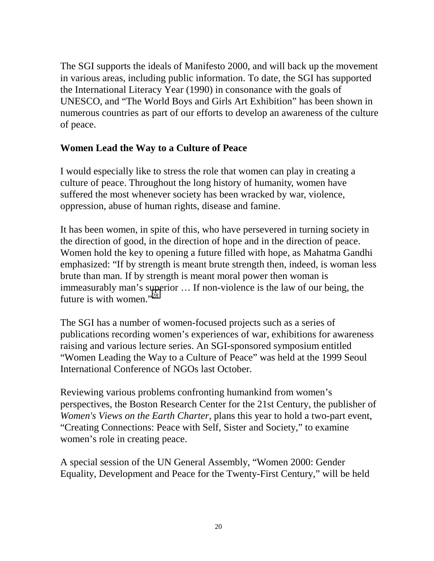The SGI supports the ideals of Manifesto 2000, and will back up the movement in various areas, including public information. To date, the SGI has supported the International Literacy Year (1990) in consonance with the goals of UNESCO, and "The World Boys and Girls Art Exhibition" has been shown in numerous countries as part of our efforts to develop an awareness of the culture of peace.

### **Women Lead the Way to a Culture of Peace**

I would especially like to stress the role that women can play in creating a culture of peace. Throughout the long history of humanity, women have suffered the most whenever society has been wracked by war, violence, oppression, abuse of human rights, disease and famine.

It has been women, in spite of this, who have persevered in turning society in the direction of good, in the direction of hope and in the direction of peace. Women hold the key to opening a future filled with hope, as Mahatma Gandhi emphasized: "If by strength is meant brute strength then, indeed, is woman less brute than man*.* If by strength is meant moral power then woman is immeasurably man's superior … If non-violence is the law of our being, the future is with women."[28](#page-39-0)

The SGI has a number of women-focused projects such as a series of publications recording women's experiences of war, exhibitions for awareness raising and various lecture series. An SGI-sponsored symposium entitled "Women Leading the Way to a Culture of Peace" was held at the 1999 Seoul International Conference of NGOs last October.

Reviewing various problems confronting humankind from women's perspectives, the Boston Research Center for the 21st Century, the publisher of *Women's Views on the Earth Charter,* plans this year to hold a two-part event, "Creating Connections: Peace with Self, Sister and Society," to examine women's role in creating peace.

A special session of the UN General Assembly, "Women 2000: Gender Equality, Development and Peace for the Twenty-First Century," will be held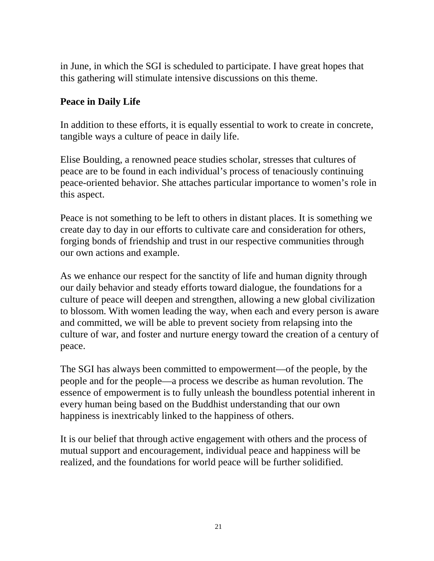in June, in which the SGI is scheduled to participate. I have great hopes that this gathering will stimulate intensive discussions on this theme.

### **Peace in Daily Life**

In addition to these efforts, it is equally essential to work to create in concrete, tangible ways a culture of peace in daily life.

Elise Boulding, a renowned peace studies scholar, stresses that cultures of peace are to be found in each individual's process of tenaciously continuing peace-oriented behavior. She attaches particular importance to women's role in this aspect.

Peace is not something to be left to others in distant places. It is something we create day to day in our efforts to cultivate care and consideration for others, forging bonds of friendship and trust in our respective communities through our own actions and example.

As we enhance our respect for the sanctity of life and human dignity through our daily behavior and steady efforts toward dialogue, the foundations for a culture of peace will deepen and strengthen, allowing a new global civilization to blossom. With women leading the way, when each and every person is aware and committed, we will be able to prevent society from relapsing into the culture of war, and foster and nurture energy toward the creation of a century of peace.

The SGI has always been committed to empowerment—of the people, by the people and for the people—a process we describe as human revolution. The essence of empowerment is to fully unleash the boundless potential inherent in every human being based on the Buddhist understanding that our own happiness is inextricably linked to the happiness of others.

It is our belief that through active engagement with others and the process of mutual support and encouragement, individual peace and happiness will be realized, and the foundations for world peace will be further solidified.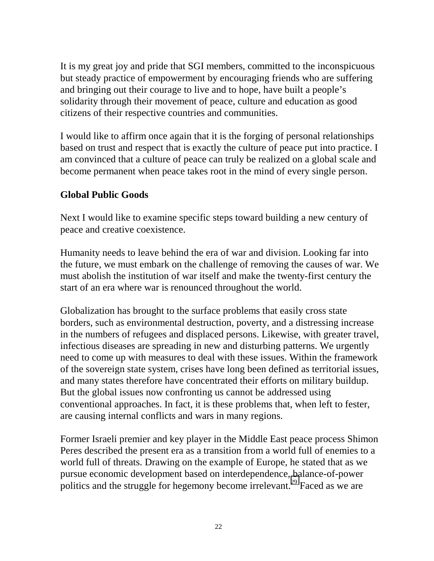It is my great joy and pride that SGI members, committed to the inconspicuous but steady practice of empowerment by encouraging friends who are suffering and bringing out their courage to live and to hope, have built a people's solidarity through their movement of peace, culture and education as good citizens of their respective countries and communities.

I would like to affirm once again that it is the forging of personal relationships based on trust and respect that is exactly the culture of peace put into practice. I am convinced that a culture of peace can truly be realized on a global scale and become permanent when peace takes root in the mind of every single person.

# **Global Public Goods**

Next I would like to examine specific steps toward building a new century of peace and creative coexistence.

Humanity needs to leave behind the era of war and division. Looking far into the future, we must embark on the challenge of removing the causes of war. We must abolish the institution of war itself and make the twenty-first century the start of an era where war is renounced throughout the world.

Globalization has brought to the surface problems that easily cross state borders, such as environmental destruction, poverty, and a distressing increase in the numbers of refugees and displaced persons. Likewise, with greater travel, infectious diseases are spreading in new and disturbing patterns. We urgently need to come up with measures to deal with these issues. Within the framework of the sovereign state system, crises have long been defined as territorial issues, and many states therefore have concentrated their efforts on military buildup. But the global issues now confronting us cannot be addressed using conventional approaches. In fact, it is these problems that, when left to fester, are causing internal conflicts and wars in many regions.

Former Israeli premier and key player in the Middle East peace process Shimon Peres described the present era as a transition from a world full of enemies to a world full of threats. Drawing on the example of Europe, he stated that as we pursue economic development based on interdependence, balance-of-power politics and the struggle for hegemony become irrelevant.<sup>29</sup> Faced as we are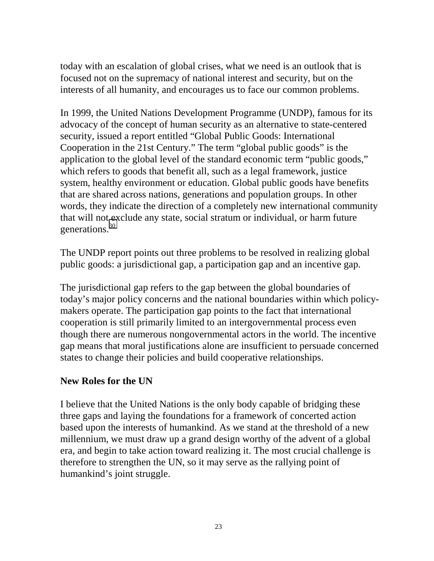today with an escalation of global crises, what we need is an outlook that is focused not on the supremacy of national interest and security, but on the interests of all humanity, and encourages us to face our common problems.

In 1999, the United Nations Development Programme (UNDP), famous for its advocacy of the concept of human security as an alternative to state-centered security, issued a report entitled "Global Public Goods: International Cooperation in the 21st Century." The term "global public goods" is the application to the global level of the standard economic term "public goods," which refers to goods that benefit all, such as a legal framework, justice system, healthy environment or education. Global public goods have benefits that are shared across nations, generations and population groups. In other words, they indicate the direction of a completely new international community that will not exclude any state, social stratum or individual, or harm future generations.<sup>[30](#page-39-0)</sup>

The UNDP report points out three problems to be resolved in realizing global public goods: a jurisdictional gap, a participation gap and an incentive gap.

The jurisdictional gap refers to the gap between the global boundaries of today's major policy concerns and the national boundaries within which policymakers operate. The participation gap points to the fact that international cooperation is still primarily limited to an intergovernmental process even though there are numerous nongovernmental actors in the world. The incentive gap means that moral justifications alone are insufficient to persuade concerned states to change their policies and build cooperative relationships.

# **New Roles for the UN**

I believe that the United Nations is the only body capable of bridging these three gaps and laying the foundations for a framework of concerted action based upon the interests of humankind. As we stand at the threshold of a new millennium, we must draw up a grand design worthy of the advent of a global era, and begin to take action toward realizing it. The most crucial challenge is therefore to strengthen the UN, so it may serve as the rallying point of humankind's joint struggle.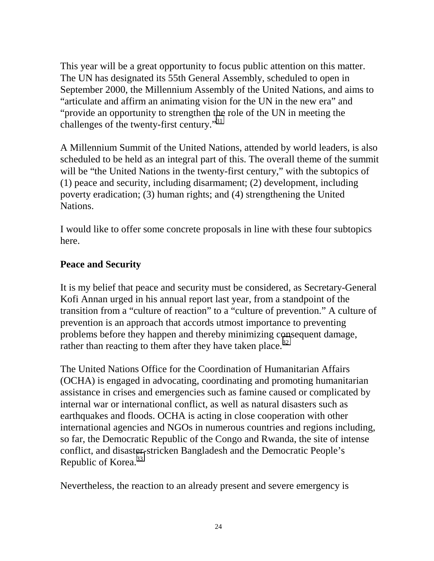This year will be a great opportunity to focus public attention on this matter. The UN has designated its 55th General Assembly, scheduled to open in September 2000, the Millennium Assembly of the United Nations, and aims to "articulate and affirm an animating vision for the UN in the new era" and "provide an opportunity to strengthen the role of the UN in meeting the challenges of the twenty-first century."<sup>31</sup>

A Millennium Summit of the United Nations, attended by world leaders, is also scheduled to be held as an integral part of this. The overall theme of the summit will be "the United Nations in the twenty-first century," with the subtopics of (1) peace and security, including disarmament; (2) development, including poverty eradication; (3) human rights; and (4) strengthening the United Nations.

I would like to offer some concrete proposals in line with these four subtopics here.

# **Peace and Security**

It is my belief that peace and security must be considered, as Secretary-General Kofi Annan urged in his annual report last year, from a standpoint of the transition from a "culture of reaction" to a "culture of prevention." A culture of prevention is an approach that accords utmost importance to preventing problems before they happen and thereby minimizing consequent damage, rather than reacting to them after they have taken place.<sup>[32](#page-39-0)</sup>

The United Nations Office for the Coordination of Humanitarian Affairs (OCHA) is engaged in advocating, coordinating and promoting humanitarian assistance in crises and emergencies such as famine caused or complicated by internal war or international conflict, as well as natural disasters such as earthquakes and floods. OCHA is acting in close cooperation with other international agencies and NGOs in numerous countries and regions including, so far, the Democratic Republic of the Congo and Rwanda, the site of intense conflict, and disaster-stricken Bangladesh and the Democratic People's Republic of Korea.<sup>[33](#page-39-0)</sup>

Nevertheless, the reaction to an already present and severe emergency is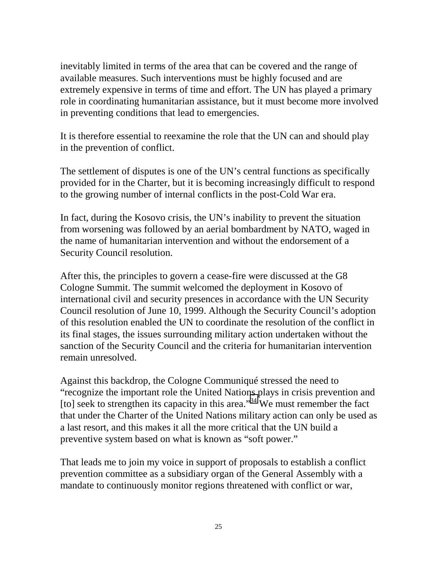inevitably limited in terms of the area that can be covered and the range of available measures. Such interventions must be highly focused and are extremely expensive in terms of time and effort. The UN has played a primary role in coordinating humanitarian assistance, but it must become more involved in preventing conditions that lead to emergencies.

It is therefore essential to reexamine the role that the UN can and should play in the prevention of conflict.

The settlement of disputes is one of the UN's central functions as specifically provided for in the Charter, but it is becoming increasingly difficult to respond to the growing number of internal conflicts in the post-Cold War era.

In fact, during the Kosovo crisis, the UN's inability to prevent the situation from worsening was followed by an aerial bombardment by NATO, waged in the name of humanitarian intervention and without the endorsement of a Security Council resolution.

After this, the principles to govern a cease-fire were discussed at the G8 Cologne Summit. The summit welcomed the deployment in Kosovo of international civil and security presences in accordance with the UN Security Council resolution of June 10, 1999. Although the Security Council's adoption of this resolution enabled the UN to coordinate the resolution of the conflict in its final stages, the issues surrounding military action undertaken without the sanction of the Security Council and the criteria for humanitarian intervention remain unresolved.

Against this backdrop, the Cologne Communiqué stressed the need to "recognize the important role the United Nations plays in crisis prevention and [to] seek to strengthen its capacity in this area."<sup>34</sup> We must remember the fact that under the Charter of the United Nations military action can only be used as a last resort, and this makes it all the more critical that the UN build a preventive system based on what is known as "soft power."

That leads me to join my voice in support of proposals to establish a conflict prevention committee as a subsidiary organ of the General Assembly with a mandate to continuously monitor regions threatened with conflict or war,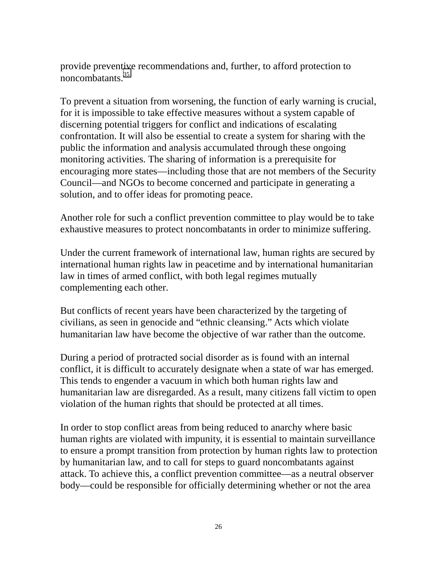provide preventive recommendations and, further, to afford protection to noncombatants<sup>[35](#page-39-0)</sup>

To prevent a situation from worsening, the function of early warning is crucial, for it is impossible to take effective measures without a system capable of discerning potential triggers for conflict and indications of escalating confrontation. It will also be essential to create a system for sharing with the public the information and analysis accumulated through these ongoing monitoring activities. The sharing of information is a prerequisite for encouraging more states—including those that are not members of the Security Council—and NGOs to become concerned and participate in generating a solution, and to offer ideas for promoting peace.

Another role for such a conflict prevention committee to play would be to take exhaustive measures to protect noncombatants in order to minimize suffering.

Under the current framework of international law, human rights are secured by international human rights law in peacetime and by international humanitarian law in times of armed conflict, with both legal regimes mutually complementing each other.

But conflicts of recent years have been characterized by the targeting of civilians, as seen in genocide and "ethnic cleansing." Acts which violate humanitarian law have become the objective of war rather than the outcome.

During a period of protracted social disorder as is found with an internal conflict, it is difficult to accurately designate when a state of war has emerged. This tends to engender a vacuum in which both human rights law and humanitarian law are disregarded. As a result, many citizens fall victim to open violation of the human rights that should be protected at all times.

In order to stop conflict areas from being reduced to anarchy where basic human rights are violated with impunity, it is essential to maintain surveillance to ensure a prompt transition from protection by human rights law to protection by humanitarian law, and to call for steps to guard noncombatants against attack. To achieve this, a conflict prevention committee—as a neutral observer body—could be responsible for officially determining whether or not the area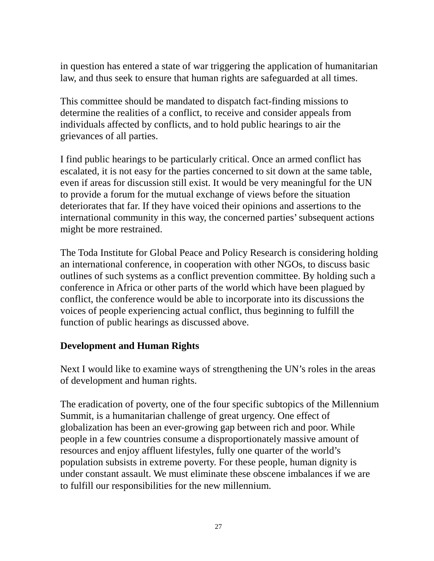in question has entered a state of war triggering the application of humanitarian law, and thus seek to ensure that human rights are safeguarded at all times.

This committee should be mandated to dispatch fact-finding missions to determine the realities of a conflict, to receive and consider appeals from individuals affected by conflicts, and to hold public hearings to air the grievances of all parties.

I find public hearings to be particularly critical. Once an armed conflict has escalated, it is not easy for the parties concerned to sit down at the same table, even if areas for discussion still exist. It would be very meaningful for the UN to provide a forum for the mutual exchange of views before the situation deteriorates that far. If they have voiced their opinions and assertions to the international community in this way, the concerned parties' subsequent actions might be more restrained.

The Toda Institute for Global Peace and Policy Research is considering holding an international conference, in cooperation with other NGOs, to discuss basic outlines of such systems as a conflict prevention committee. By holding such a conference in Africa or other parts of the world which have been plagued by conflict, the conference would be able to incorporate into its discussions the voices of people experiencing actual conflict, thus beginning to fulfill the function of public hearings as discussed above.

### **Development and Human Rights**

Next I would like to examine ways of strengthening the UN's roles in the areas of development and human rights.

The eradication of poverty, one of the four specific subtopics of the Millennium Summit, is a humanitarian challenge of great urgency. One effect of globalization has been an ever-growing gap between rich and poor. While people in a few countries consume a disproportionately massive amount of resources and enjoy affluent lifestyles, fully one quarter of the world's population subsists in extreme poverty. For these people, human dignity is under constant assault. We must eliminate these obscene imbalances if we are to fulfill our responsibilities for the new millennium.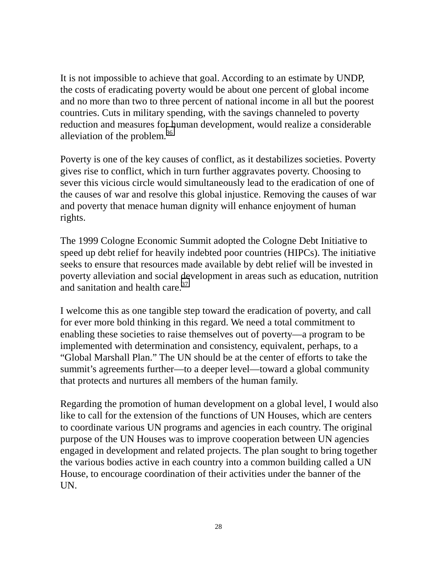It is not impossible to achieve that goal. According to an estimate by UNDP, the costs of eradicating poverty would be about one percent of global income and no more than two to three percent of national income in all but the poorest countries. Cuts in military spending, with the savings channeled to poverty reduction and measures for human development, would realize a considerable alleviation of the problem. $36$ 

Poverty is one of the key causes of conflict, as it destabilizes societies. Poverty gives rise to conflict, which in turn further aggravates poverty. Choosing to sever this vicious circle would simultaneously lead to the eradication of one of the causes of war and resolve this global injustice. Removing the causes of war and poverty that menace human dignity will enhance enjoyment of human rights.

The 1999 Cologne Economic Summit adopted the Cologne Debt Initiative to speed up debt relief for heavily indebted poor countries (HIPCs). The initiative seeks to ensure that resources made available by debt relief will be invested in poverty alleviation and social development in areas such as education, nutrition and sanitation and health care.<sup>37</sup>

I welcome this as one tangible step toward the eradication of poverty, and call for ever more bold thinking in this regard. We need a total commitment to enabling these societies to raise themselves out of poverty—a program to be implemented with determination and consistency, equivalent, perhaps, to a "Global Marshall Plan." The UN should be at the center of efforts to take the summit's agreements further—to a deeper level—toward a global community that protects and nurtures all members of the human family.

Regarding the promotion of human development on a global level, I would also like to call for the extension of the functions of UN Houses, which are centers to coordinate various UN programs and agencies in each country. The original purpose of the UN Houses was to improve cooperation between UN agencies engaged in development and related projects. The plan sought to bring together the various bodies active in each country into a common building called a UN House, to encourage coordination of their activities under the banner of the UN.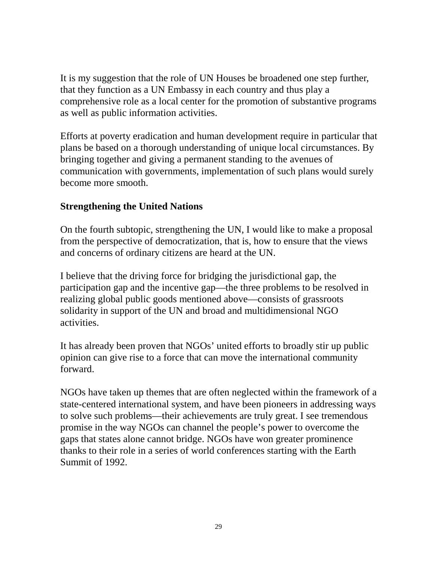It is my suggestion that the role of UN Houses be broadened one step further, that they function as a UN Embassy in each country and thus play a comprehensive role as a local center for the promotion of substantive programs as well as public information activities.

Efforts at poverty eradication and human development require in particular that plans be based on a thorough understanding of unique local circumstances. By bringing together and giving a permanent standing to the avenues of communication with governments, implementation of such plans would surely become more smooth.

# **Strengthening the United Nations**

On the fourth subtopic, strengthening the UN, I would like to make a proposal from the perspective of democratization, that is, how to ensure that the views and concerns of ordinary citizens are heard at the UN.

I believe that the driving force for bridging the jurisdictional gap, the participation gap and the incentive gap—the three problems to be resolved in realizing global public goods mentioned above—consists of grassroots solidarity in support of the UN and broad and multidimensional NGO activities.

It has already been proven that NGOs' united efforts to broadly stir up public opinion can give rise to a force that can move the international community forward.

NGOs have taken up themes that are often neglected within the framework of a state-centered international system, and have been pioneers in addressing ways to solve such problems—their achievements are truly great. I see tremendous promise in the way NGOs can channel the people's power to overcome the gaps that states alone cannot bridge. NGOs have won greater prominence thanks to their role in a series of world conferences starting with the Earth Summit of 1992.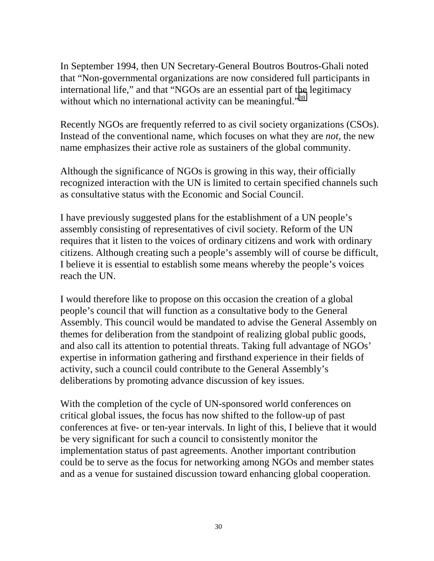In September 1994, then UN Secretary-General Boutros Boutros-Ghali noted that "Non-governmental organizations are now considered full participants in international life," and that "NGOs are an essential part of the legitimacy without which no international activity can be meaningful."<sup>[38](#page-39-0)</sup>

Recently NGOs are frequently referred to as civil society organizations (CSOs). Instead of the conventional name, which focuses on what they are *not,* the new name emphasizes their active role as sustainers of the global community.

Although the significance of NGOs is growing in this way, their officially recognized interaction with the UN is limited to certain specified channels such as consultative status with the Economic and Social Council.

I have previously suggested plans for the establishment of a UN people's assembly consisting of representatives of civil society. Reform of the UN requires that it listen to the voices of ordinary citizens and work with ordinary citizens. Although creating such a people's assembly will of course be difficult, I believe it is essential to establish some means whereby the people's voices reach the UN.

I would therefore like to propose on this occasion the creation of a global people's council that will function as a consultative body to the General Assembly. This council would be mandated to advise the General Assembly on themes for deliberation from the standpoint of realizing global public goods, and also call its attention to potential threats. Taking full advantage of NGOs' expertise in information gathering and firsthand experience in their fields of activity, such a council could contribute to the General Assembly's deliberations by promoting advance discussion of key issues.

With the completion of the cycle of UN-sponsored world conferences on critical global issues, the focus has now shifted to the follow-up of past conferences at five- or ten-year intervals. In light of this, I believe that it would be very significant for such a council to consistently monitor the implementation status of past agreements. Another important contribution could be to serve as the focus for networking among NGOs and member states and as a venue for sustained discussion toward enhancing global cooperation.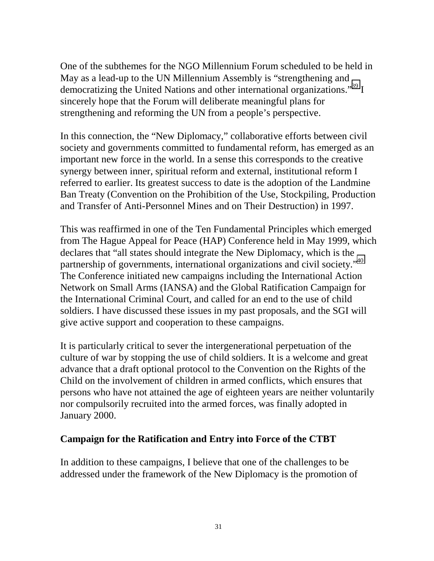One of the subthemes for the NGO Millennium Forum scheduled to be held in May as a lead-up to the UN Millennium Assembly is "strengthening and democratizing the United Nations and other international organizations."[39](#page-39-0) I sincerely hope that the Forum will deliberate meaningful plans for strengthening and reforming the UN from a people's perspective.

In this connection, the "New Diplomacy," collaborative efforts between civil society and governments committed to fundamental reform, has emerged as an important new force in the world. In a sense this corresponds to the creative synergy between inner, spiritual reform and external, institutional reform I referred to earlier. Its greatest success to date is the adoption of the Landmine Ban Treaty (Convention on the Prohibition of the Use, Stockpiling, Production and Transfer of Anti-Personnel Mines and on Their Destruction) in 1997.

This was reaffirmed in one of the Ten Fundamental Principles which emerged from The Hague Appeal for Peace (HAP) Conference held in May 1999, which declares that "all states should integrate the New Diplomacy, which is the partnership of governments, international organizations and civil society.["40](#page-39-0) The Conference initiated new campaigns including the International Action Network on Small Arms (IANSA) and the Global Ratification Campaign for the International Criminal Court, and called for an end to the use of child soldiers. I have discussed these issues in my past proposals, and the SGI will give active support and cooperation to these campaigns.

It is particularly critical to sever the intergenerational perpetuation of the culture of war by stopping the use of child soldiers. It is a welcome and great advance that a draft optional protocol to the Convention on the Rights of the Child on the involvement of children in armed conflicts, which ensures that persons who have not attained the age of eighteen years are neither voluntarily nor compulsorily recruited into the armed forces, was finally adopted in January 2000.

# **Campaign for the Ratification and Entry into Force of the CTBT**

In addition to these campaigns, I believe that one of the challenges to be addressed under the framework of the New Diplomacy is the promotion of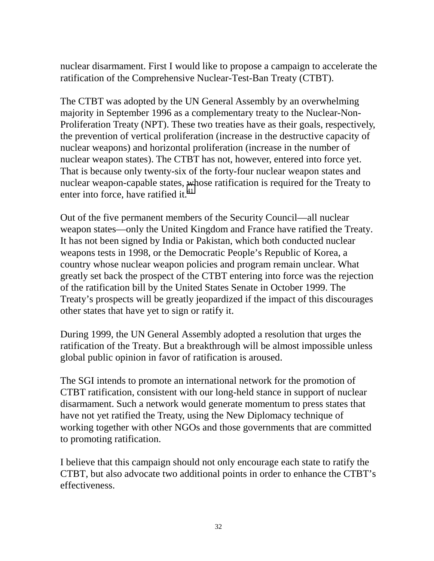nuclear disarmament. First I would like to propose a campaign to accelerate the ratification of the Comprehensive Nuclear-Test-Ban Treaty (CTBT).

The CTBT was adopted by the UN General Assembly by an overwhelming majority in September 1996 as a complementary treaty to the Nuclear-Non-Proliferation Treaty (NPT). These two treaties have as their goals, respectively, the prevention of vertical proliferation (increase in the destructive capacity of nuclear weapons) and horizontal proliferation (increase in the number of nuclear weapon states). The CTBT has not, however, entered into force yet. That is because only twenty-six of the forty-four nuclear weapon states and nuclear weapon-capable states, whose ratification is required for the Treaty to enter into force, have ratified it.<sup>41</sup>

Out of the five permanent members of the Security Council—all nuclear weapon states—only the United Kingdom and France have ratified the Treaty. It has not been signed by India or Pakistan, which both conducted nuclear weapons tests in 1998, or the Democratic People's Republic of Korea, a country whose nuclear weapon policies and program remain unclear. What greatly set back the prospect of the CTBT entering into force was the rejection of the ratification bill by the United States Senate in October 1999. The Treaty's prospects will be greatly jeopardized if the impact of this discourages other states that have yet to sign or ratify it.

During 1999, the UN General Assembly adopted a resolution that urges the ratification of the Treaty. But a breakthrough will be almost impossible unless global public opinion in favor of ratification is aroused.

The SGI intends to promote an international network for the promotion of CTBT ratification, consistent with our long-held stance in support of nuclear disarmament. Such a network would generate momentum to press states that have not yet ratified the Treaty, using the New Diplomacy technique of working together with other NGOs and those governments that are committed to promoting ratification.

I believe that this campaign should not only encourage each state to ratify the CTBT, but also advocate two additional points in order to enhance the CTBT's effectiveness.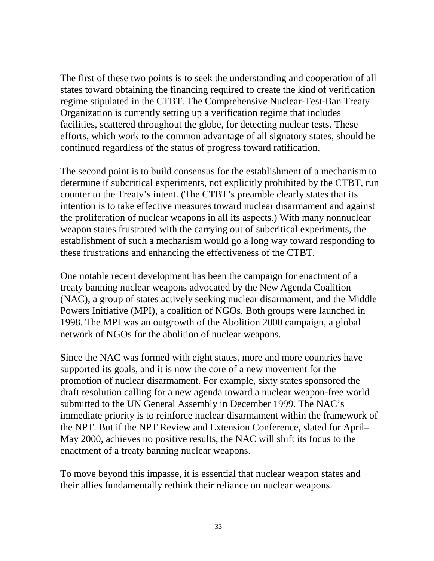The first of these two points is to seek the understanding and cooperation of all states toward obtaining the financing required to create the kind of verification regime stipulated in the CTBT. The Comprehensive Nuclear-Test-Ban Treaty Organization is currently setting up a verification regime that includes facilities, scattered throughout the globe, for detecting nuclear tests. These efforts, which work to the common advantage of all signatory states, should be continued regardless of the status of progress toward ratification.

The second point is to build consensus for the establishment of a mechanism to determine if subcritical experiments, not explicitly prohibited by the CTBT, run counter to the Treaty's intent. (The CTBT's preamble clearly states that its intention is to take effective measures toward nuclear disarmament and against the proliferation of nuclear weapons in all its aspects.) With many nonnuclear weapon states frustrated with the carrying out of subcritical experiments, the establishment of such a mechanism would go a long way toward responding to these frustrations and enhancing the effectiveness of the CTBT.

One notable recent development has been the campaign for enactment of a treaty banning nuclear weapons advocated by the New Agenda Coalition (NAC), a group of states actively seeking nuclear disarmament, and the Middle Powers Initiative (MPI), a coalition of NGOs. Both groups were launched in 1998. The MPI was an outgrowth of the Abolition 2000 campaign, a global network of NGOs for the abolition of nuclear weapons.

Since the NAC was formed with eight states, more and more countries have supported its goals, and it is now the core of a new movement for the promotion of nuclear disarmament. For example, sixty states sponsored the draft resolution calling for a new agenda toward a nuclear weapon-free world submitted to the UN General Assembly in December 1999. The NAC's immediate priority is to reinforce nuclear disarmament within the framework of the NPT. But if the NPT Review and Extension Conference, slated for April– May 2000, achieves no positive results, the NAC will shift its focus to the enactment of a treaty banning nuclear weapons.

To move beyond this impasse, it is essential that nuclear weapon states and their allies fundamentally rethink their reliance on nuclear weapons.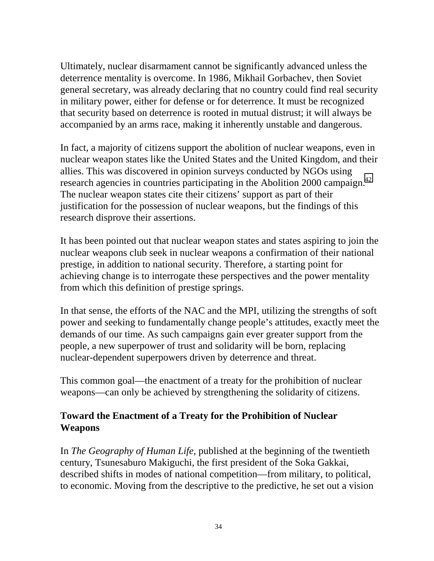Ultimately, nuclear disarmament cannot be significantly advanced unless the deterrence mentality is overcome. In 1986, Mikhail Gorbachev, then Soviet general secretary, was already declaring that no country could find real security in military power, either for defense or for deterrence. It must be recognized that security based on deterrence is rooted in mutual distrust; it will always be accompanied by an arms race, making it inherently unstable and dangerous.

In fact, a majority of citizens support the abolition of nuclear weapons, even in nuclear weapon states like the United States and the United Kingdom, and their allies. This was discovered in opinion surveys conducted by NGOs using research agencies in countries participating in the Abolition 2000 campaign.<sup>42</sup> The nuclear weapon states cite their citizens' support as part of their justification for the possession of nuclear weapons, but the findings of this research disprove their assertions.

It has been pointed out that nuclear weapon states and states aspiring to join the nuclear weapons club seek in nuclear weapons a confirmation of their national prestige, in addition to national security. Therefore, a starting point for achieving change is to interrogate these perspectives and the power mentality from which this definition of prestige springs.

In that sense, the efforts of the NAC and the MPI, utilizing the strengths of soft power and seeking to fundamentally change people's attitudes, exactly meet the demands of our time. As such campaigns gain ever greater support from the people, a new superpower of trust and solidarity will be born, replacing nuclear-dependent superpowers driven by deterrence and threat.

This common goal—the enactment of a treaty for the prohibition of nuclear weapons—can only be achieved by strengthening the solidarity of citizens.

# **Toward the Enactment of a Treaty for the Prohibition of Nuclear Weapons**

In *The Geography of Human Life,* published at the beginning of the twentieth century, Tsunesaburo Makiguchi, the first president of the Soka Gakkai, described shifts in modes of national competition—from military, to political, to economic. Moving from the descriptive to the predictive, he set out a vision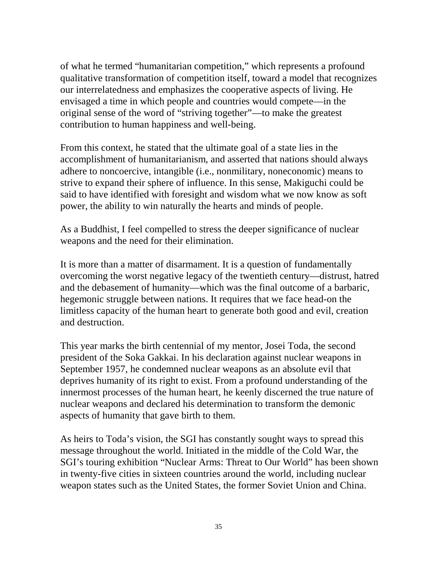of what he termed "humanitarian competition," which represents a profound qualitative transformation of competition itself, toward a model that recognizes our interrelatedness and emphasizes the cooperative aspects of living. He envisaged a time in which people and countries would compete—in the original sense of the word of "striving together"—to make the greatest contribution to human happiness and well-being.

From this context, he stated that the ultimate goal of a state lies in the accomplishment of humanitarianism, and asserted that nations should always adhere to noncoercive, intangible (i.e., nonmilitary, noneconomic) means to strive to expand their sphere of influence. In this sense, Makiguchi could be said to have identified with foresight and wisdom what we now know as soft power, the ability to win naturally the hearts and minds of people.

As a Buddhist, I feel compelled to stress the deeper significance of nuclear weapons and the need for their elimination.

It is more than a matter of disarmament. It is a question of fundamentally overcoming the worst negative legacy of the twentieth century—distrust, hatred and the debasement of humanity—which was the final outcome of a barbaric, hegemonic struggle between nations. It requires that we face head-on the limitless capacity of the human heart to generate both good and evil, creation and destruction.

This year marks the birth centennial of my mentor, Josei Toda, the second president of the Soka Gakkai. In his declaration against nuclear weapons in September 1957, he condemned nuclear weapons as an absolute evil that deprives humanity of its right to exist. From a profound understanding of the innermost processes of the human heart, he keenly discerned the true nature of nuclear weapons and declared his determination to transform the demonic aspects of humanity that gave birth to them.

As heirs to Toda's vision, the SGI has constantly sought ways to spread this message throughout the world. Initiated in the middle of the Cold War, the SGI's touring exhibition "Nuclear Arms: Threat to Our World" has been shown in twenty-five cities in sixteen countries around the world, including nuclear weapon states such as the United States, the former Soviet Union and China.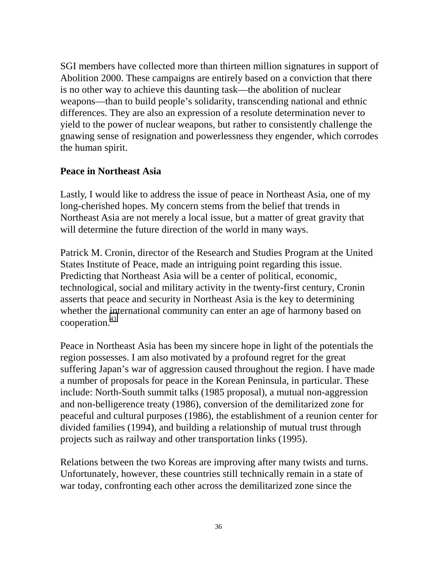SGI members have collected more than thirteen million signatures in support of Abolition 2000. These campaigns are entirely based on a conviction that there is no other way to achieve this daunting task—the abolition of nuclear weapons—than to build people's solidarity, transcending national and ethnic differences. They are also an expression of a resolute determination never to yield to the power of nuclear weapons, but rather to consistently challenge the gnawing sense of resignation and powerlessness they engender, which corrodes the human spirit.

### **Peace in Northeast Asia**

Lastly, I would like to address the issue of peace in Northeast Asia, one of my long-cherished hopes. My concern stems from the belief that trends in Northeast Asia are not merely a local issue, but a matter of great gravity that will determine the future direction of the world in many ways.

Patrick M. Cronin, director of the Research and Studies Program at the United States Institute of Peace, made an intriguing point regarding this issue. Predicting that Northeast Asia will be a center of political, economic, technological, social and military activity in the twenty-first century, Cronin asserts that peace and security in Northeast Asia is the key to determining whether the international community can enter an age of harmony based on cooperation[.43](#page-39-0)

Peace in Northeast Asia has been my sincere hope in light of the potentials the region possesses. I am also motivated by a profound regret for the great suffering Japan's war of aggression caused throughout the region. I have made a number of proposals for peace in the Korean Peninsula, in particular. These include: North-South summit talks (1985 proposal), a mutual non-aggression and non-belligerence treaty (1986), conversion of the demilitarized zone for peaceful and cultural purposes (1986), the establishment of a reunion center for divided families (1994), and building a relationship of mutual trust through projects such as railway and other transportation links (1995).

Relations between the two Koreas are improving after many twists and turns. Unfortunately, however, these countries still technically remain in a state of war today, confronting each other across the demilitarized zone since the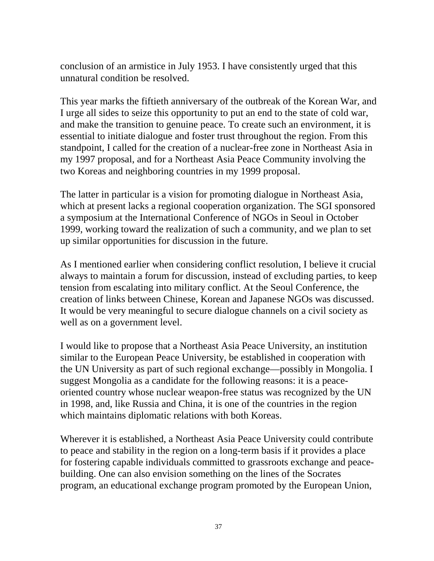conclusion of an armistice in July 1953. I have consistently urged that this unnatural condition be resolved.

This year marks the fiftieth anniversary of the outbreak of the Korean War, and I urge all sides to seize this opportunity to put an end to the state of cold war, and make the transition to genuine peace. To create such an environment, it is essential to initiate dialogue and foster trust throughout the region. From this standpoint, I called for the creation of a nuclear-free zone in Northeast Asia in my 1997 proposal, and for a Northeast Asia Peace Community involving the two Koreas and neighboring countries in my 1999 proposal.

The latter in particular is a vision for promoting dialogue in Northeast Asia, which at present lacks a regional cooperation organization. The SGI sponsored a symposium at the International Conference of NGOs in Seoul in October 1999, working toward the realization of such a community, and we plan to set up similar opportunities for discussion in the future.

As I mentioned earlier when considering conflict resolution, I believe it crucial always to maintain a forum for discussion, instead of excluding parties, to keep tension from escalating into military conflict. At the Seoul Conference, the creation of links between Chinese, Korean and Japanese NGOs was discussed. It would be very meaningful to secure dialogue channels on a civil society as well as on a government level.

I would like to propose that a Northeast Asia Peace University, an institution similar to the European Peace University, be established in cooperation with the UN University as part of such regional exchange—possibly in Mongolia. I suggest Mongolia as a candidate for the following reasons: it is a peaceoriented country whose nuclear weapon-free status was recognized by the UN in 1998, and, like Russia and China, it is one of the countries in the region which maintains diplomatic relations with both Koreas.

Wherever it is established, a Northeast Asia Peace University could contribute to peace and stability in the region on a long-term basis if it provides a place for fostering capable individuals committed to grassroots exchange and peacebuilding. One can also envision something on the lines of the Socrates program, an educational exchange program promoted by the European Union,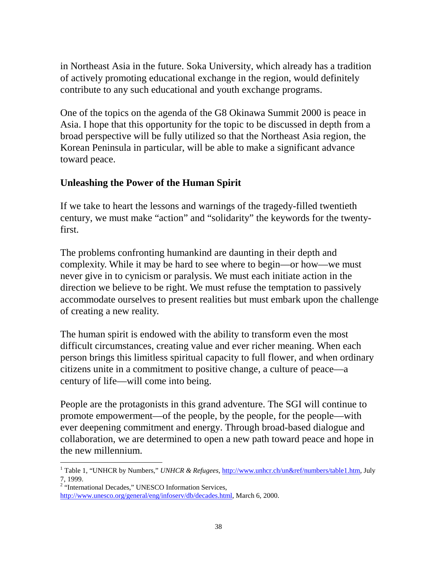in Northeast Asia in the future. Soka University, which already has a tradition of actively promoting educational exchange in the region, would definitely contribute to any such educational and youth exchange programs.

One of the topics on the agenda of the G8 Okinawa Summit 2000 is peace in Asia. I hope that this opportunity for the topic to be discussed in depth from a broad perspective will be fully utilized so that the Northeast Asia region, the Korean Peninsula in particular, will be able to make a significant advance toward peace.

### **Unleashing the Power of the Human Spirit**

If we take to heart the lessons and warnings of the tragedy-filled twentieth century, we must make "action" and "solidarity" the keywords for the twentyfirst.

The problems confronting humankind are daunting in their depth and complexity. While it may be hard to see where to begin—or how—we must never give in to cynicism or paralysis. We must each initiate action in the direction we believe to be right. We must refuse the temptation to passively accommodate ourselves to present realities but must embark upon the challenge of creating a new reality.

The human spirit is endowed with the ability to transform even the most difficult circumstances, creating value and ever richer meaning. When each person brings this limitless spiritual capacity to full flower, and when ordinary citizens unite in a commitment to positive change, a culture of peace—a century of life—will come into being.

People are the protagonists in this grand adventure. The SGI will continue to promote empowerment—of the people, by the people, for the people—with ever deepening commitment and energy. Through broad-based dialogue and collaboration, we are determined to open a new path toward peace and hope in the new millennium.

1

<sup>&</sup>lt;sup>1</sup> Table 1, "UNHCR by Numbers," *UNHCR & Refugees*, http://www.unhcr.ch/un&ref/numbers/table1.htm, July 7, 1999.

<sup>&</sup>lt;sup>2</sup> "International Decades," UNESCO Information Services,

http://www.unesco.org/general/eng/infoserv/db/decades.html, March 6, 2000.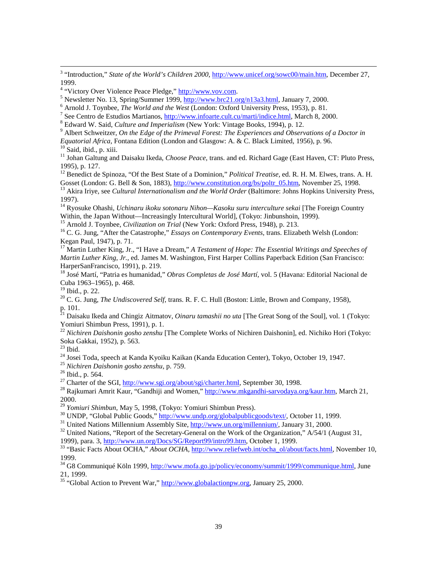<sup>11</sup> Johan Galtung and Daisaku Ikeda, *Choose Peace*, trans. and ed. Richard Gage (East Haven, CT: Pluto Press, 1995), p. 127.

<sup>12</sup> Benedict de Spinoza, "Of the Best State of a Dominion," *Political Treatise*, ed. R. H. M. Elwes, trans. A. H. Gosset (London: G. Bell & Son, 1883), http://www.constitution.org/bs/poltr\_05.htm, November 25, 1998.

<sup>13</sup> Akira Iriye, see *Cultural Internationalism and the World Order* (Baltimore: Johns Hopkins University Press, 1997).

14 Ryosuke Ohashi, *Uchinaru ikoku sotonaru Nihon—Kasoku suru interculture sekai* [The Foreign Country Within, the Japan Without—Increasingly Intercultural World], (Tokyo: Jinbunshoin, 1999).

15 Arnold J. Toynbee, *Civilization on Trial* (New York: Oxford Press, 1948), p. 213.

16 C. G. Jung, "After the Catastrophe," *Essays on Contemporary Events,* trans. Elizabeth Welsh (London: Kegan Paul, 1947), p. 71.

17 Martin Luther King, Jr., "I Have a Dream," *A Testament of Hope: The Essential Writings and Speeches of Martin Luther King, Jr.,* ed. James M. Washington, First Harper Collins Paperback Edition (San Francisco: HarperSanFrancisco, 1991), p. 219.

18 José Martí, "Patria es humanidad," *Obras Completas de José Martí,* vol. 5 (Havana: Editorial Nacional de Cuba 1963–1965), p. 468.

19 Ibid., p. 22.

20 C. G. Jung, *The Undiscovered Self,* trans. R. F. C. Hull (Boston: Little, Brown and Company, 1958), p. 101.

21 Daisaku Ikeda and Chingiz Aitmatov, *Oinaru tamashii no uta* [The Great Song of the Soul], vol. 1 (Tokyo: Yomiuri Shimbun Press, 1991), p. 1.

<sup>22</sup> *Nichiren Daishonin gosho zenshu* [The Complete Works of Nichiren Daishonin], ed. Nichiko Hori (Tokyo: Soka Gakkai, 1952), p. 563.

 $23$  Ibid.

24 Josei Toda, speech at Kanda Kyoiku Kaikan (Kanda Education Center), Tokyo, October 19, 1947.

<sup>25</sup> *Nichiren Daishonin gosho zenshu,* p. 759.

26 Ibid., p. 564.

<sup>27</sup> Charter of the SGI, http://www.sgi.org/about/sgi/charter.html, September 30, 1998.

<sup>28</sup> Rajkumari Amrit Kaur, "Gandhiji and Women," http://www.mkgandhi-sarvodaya.org/kaur.htm, March 21, 2000.

<sup>29</sup> *Yomiuri Shimbun,* May 5, 1998, (Tokyo: Yomiuri Shimbun Press).

<sup>30</sup> UNDP, "Global Public Goods," http://www.undp.org/globalpublicgoods/text/, October 11, 1999.

<sup>31</sup> United Nations Millennium Assembly Site, http://www.un.org/millennium/, January 31, 2000.

<sup>32</sup> United Nations, "Report of the Secretary-General on the Work of the Organization," A/54/1 (August 31, 1999), para. 3, http://www.un.org/Docs/SG/Report99/intro99.htm, October 1, 1999.

<sup>33</sup> "Basic Facts About OCHA," *About OCHA*, http://www.reliefweb.int/ocha<sup>\_</sup>ol/about/facts.html, November 10, 1999.

<sup>34</sup> G8 Communiqué Köln 1999, http://www.mofa.go.jp/policy/economy/summit/1999/communique.html. June 21, 1999.

 $35$  "Global Action to Prevent War," http://www.globalactionpw.org, January 25, 2000.

 $\frac{1}{3}$ <sup>3</sup> "Introduction," *State of the World's Children 2000*, http://www.unicef.org/sowc00/main.htm, December 27, 1999.

<sup>&</sup>lt;sup>4</sup> "Victory Over Violence Peace Pledge," http://www.vov.com.

<sup>&</sup>lt;sup>5</sup> Newsletter No. 13, Spring/Summer 1999, http://www.brc21.org/n13a3.html, January 7, 2000.

<sup>6</sup> Arnold J. Toynbee, *The World and the West* (London: Oxford University Press, 1953), p. 81.

<sup>&</sup>lt;sup>7</sup> See Centro de Estudios Martianos, http://www.infoarte.cult.cu/marti/indice.html, March 8, 2000.

<sup>8</sup> Edward W. Said, *Culture and Imperialism* (New York: Vintage Books, 1994), p. 12.

<sup>9</sup> Albert Schweitzer, *On the Edge of the Primeval Forest: The Experiences and Observations of a Doctor in Equatorial Africa,* Fontana Edition (London and Glasgow: A. & C. Black Limited, 1956), p. 96.  $10$  Said, ibid., p. xiii.